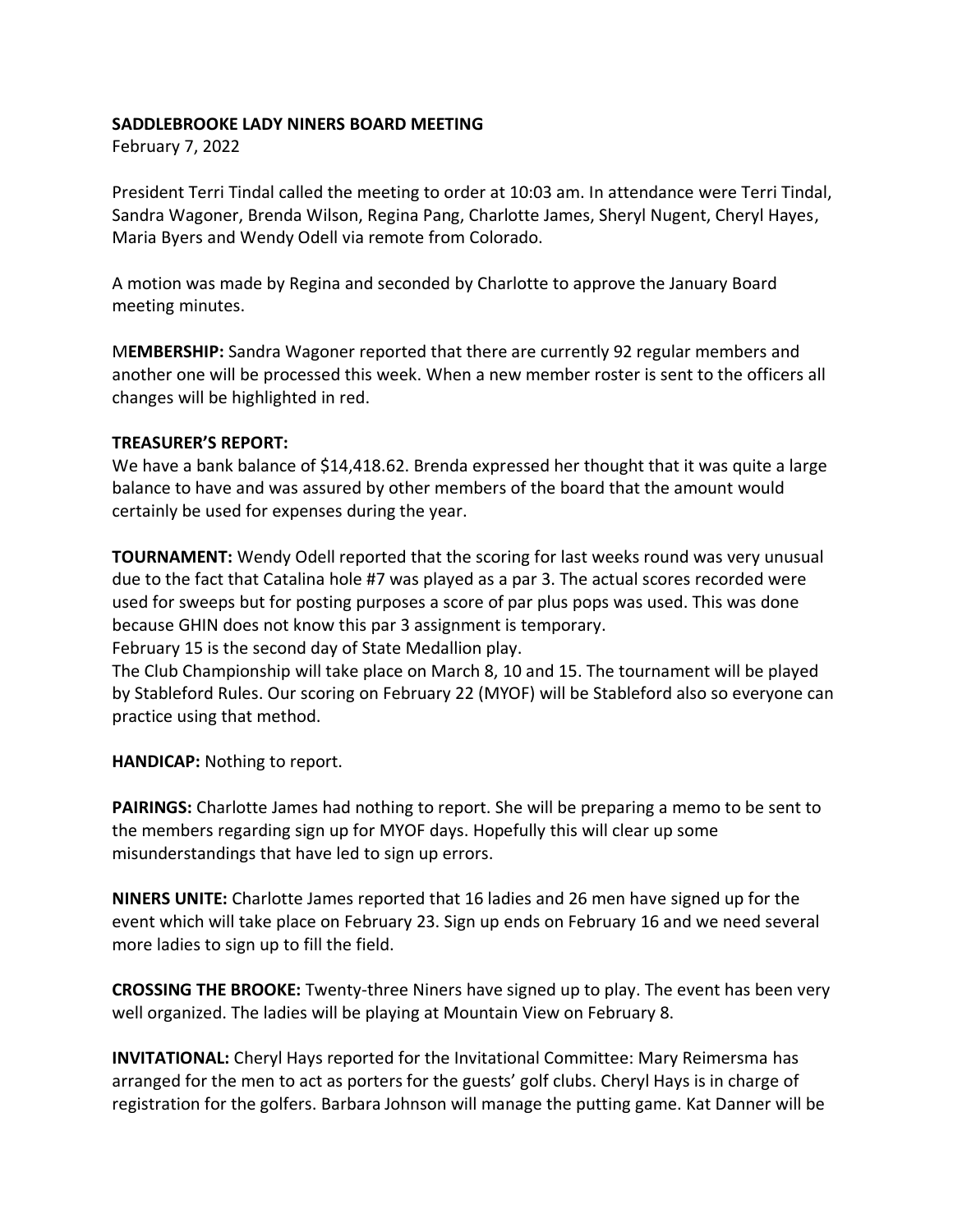## **SADDLEBROOKE LADY NINERS BOARD MEETING**

February 7, 2022

President Terri Tindal called the meeting to order at 10:03 am. In attendance were Terri Tindal, Sandra Wagoner, Brenda Wilson, Regina Pang, Charlotte James, Sheryl Nugent, Cheryl Hayes, Maria Byers and Wendy Odell via remote from Colorado.

A motion was made by Regina and seconded by Charlotte to approve the January Board meeting minutes.

M**EMBERSHIP:** Sandra Wagoner reported that there are currently 92 regular members and another one will be processed this week. When a new member roster is sent to the officers all changes will be highlighted in red.

## **TREASURER'S REPORT:**

We have a bank balance of \$14,418.62. Brenda expressed her thought that it was quite a large balance to have and was assured by other members of the board that the amount would certainly be used for expenses during the year.

**TOURNAMENT:** Wendy Odell reported that the scoring for last weeks round was very unusual due to the fact that Catalina hole #7 was played as a par 3. The actual scores recorded were used for sweeps but for posting purposes a score of par plus pops was used. This was done because GHIN does not know this par 3 assignment is temporary.

February 15 is the second day of State Medallion play.

The Club Championship will take place on March 8, 10 and 15. The tournament will be played by Stableford Rules. Our scoring on February 22 (MYOF) will be Stableford also so everyone can practice using that method.

**HANDICAP:** Nothing to report.

**PAIRINGS:** Charlotte James had nothing to report. She will be preparing a memo to be sent to the members regarding sign up for MYOF days. Hopefully this will clear up some misunderstandings that have led to sign up errors.

**NINERS UNITE:** Charlotte James reported that 16 ladies and 26 men have signed up for the event which will take place on February 23. Sign up ends on February 16 and we need several more ladies to sign up to fill the field.

**CROSSING THE BROOKE:** Twenty-three Niners have signed up to play. The event has been very well organized. The ladies will be playing at Mountain View on February 8.

**INVITATIONAL:** Cheryl Hays reported for the Invitational Committee: Mary Reimersma has arranged for the men to act as porters for the guests' golf clubs. Cheryl Hays is in charge of registration for the golfers. Barbara Johnson will manage the putting game. Kat Danner will be